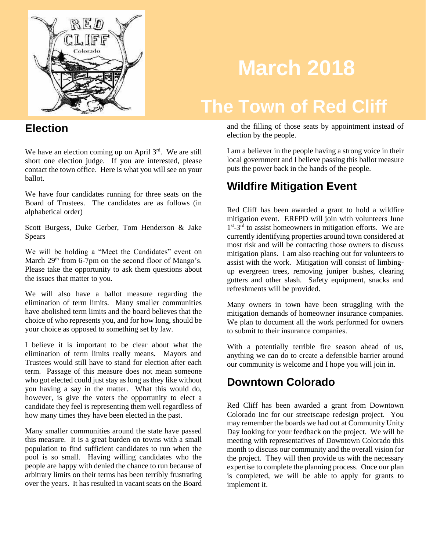

# **March 2018**

# **The Town of Red Cliff**

#### **Election**

We have an election coming up on April 3rd. We are still short one election judge. If you are interested, please contact the town office. Here is what you will see on your ballot.

We have four candidates running for three seats on the Board of Trustees. The candidates are as follows (in alphabetical order)

Scott Burgess, Duke Gerber, Tom Henderson & Jake Spears

We will be holding a "Meet the Candidates" event on March 29<sup>th</sup> from 6-7pm on the second floor of Mango's. Please take the opportunity to ask them questions about the issues that matter to you.

We will also have a ballot measure regarding the elimination of term limits. Many smaller communities have abolished term limits and the board believes that the choice of who represents you, and for how long, should be your choice as opposed to something set by law.

I believe it is important to be clear about what the elimination of term limits really means. Mayors and Trustees would still have to stand for election after each term. Passage of this measure does not mean someone who got elected could just stay as long as they like without you having a say in the matter. What this would do, however, is give the voters the opportunity to elect a candidate they feel is representing them well regardless of how many times they have been elected in the past.

Many smaller communities around the state have passed this measure. It is a great burden on towns with a small population to find sufficient candidates to run when the pool is so small. Having willing candidates who the people are happy with denied the chance to run because of arbitrary limits on their terms has been terribly frustrating over the years. It has resulted in vacant seats on the Board

and the filling of those seats by appointment instead of election by the people.

I am a believer in the people having a strong voice in their local government and I believe passing this ballot measure puts the power back in the hands of the people.

#### **Wildfire Mitigation Event**

Red Cliff has been awarded a grant to hold a wildfire mitigation event. ERFPD will join with volunteers June 1<sup>st</sup>-3<sup>rd</sup> to assist homeowners in mitigation efforts. We are currently identifying properties around town considered at most risk and will be contacting those owners to discuss mitigation plans. I am also reaching out for volunteers to assist with the work. Mitigation will consist of limbingup evergreen trees, removing juniper bushes, clearing gutters and other slash. Safety equipment, snacks and refreshments will be provided.

Many owners in town have been struggling with the mitigation demands of homeowner insurance companies. We plan to document all the work performed for owners to submit to their insurance companies.

With a potentially terrible fire season ahead of us, anything we can do to create a defensible barrier around our community is welcome and I hope you will join in.

#### **Downtown Colorado**

Red Cliff has been awarded a grant from Downtown Colorado Inc for our streetscape redesign project. You may remember the boards we had out at Community Unity Day looking for your feedback on the project. We will be meeting with representatives of Downtown Colorado this month to discuss our community and the overall vision for the project. They will then provide us with the necessary expertise to complete the planning process. Once our plan is completed, we will be able to apply for grants to implement it.